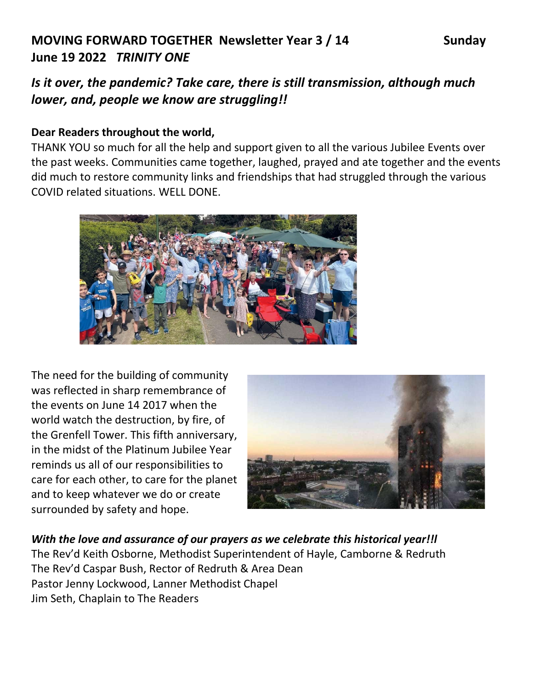# **MOVING FORWARD TOGETHER Newsletter Year 3 / 14 Sunday June 19 2022** *TRINITY ONE*

*Is it over, the pandemic? Take care, there is still transmission, although much lower, and, people we know are struggling!!*

#### **Dear Readers throughout the world,**

THANK YOU so much for all the help and support given to all the various Jubilee Events over the past weeks. Communities came together, laughed, prayed and ate together and the events did much to restore community links and friendships that had struggled through the various COVID related situations. WELL DONE.



The need for the building of community was reflected in sharp remembrance of the events on June 14 2017 when the world watch the destruction, by fire, of the Grenfell Tower. This fifth anniversary, in the midst of the Platinum Jubilee Year reminds us all of our responsibilities to care for each other, to care for the planet and to keep whatever we do or create surrounded by safety and hope.



*With the love and assurance of our prayers as we celebrate this historical year!!l*  The Rev'd Keith Osborne, Methodist Superintendent of Hayle, Camborne & Redruth The Rev'd Caspar Bush, Rector of Redruth & Area Dean Pastor Jenny Lockwood, Lanner Methodist Chapel Jim Seth, Chaplain to The Readers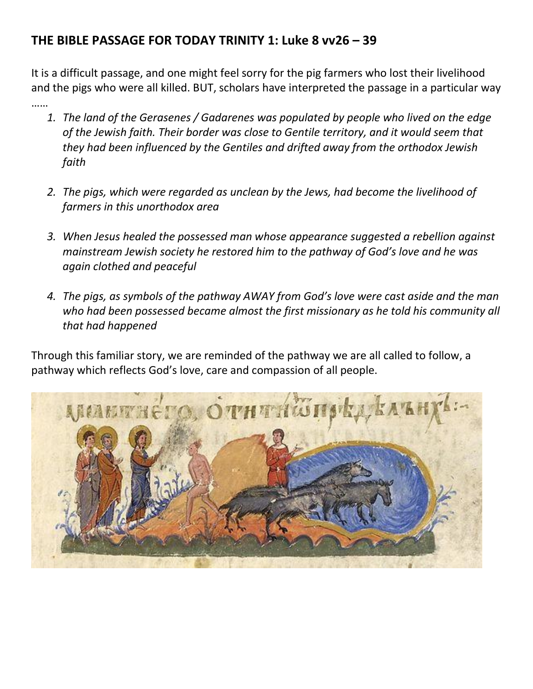# **THE BIBLE PASSAGE FOR TODAY TRINITY 1: Luke 8 vv26 – 39**

It is a difficult passage, and one might feel sorry for the pig farmers who lost their livelihood and the pigs who were all killed. BUT, scholars have interpreted the passage in a particular way

- ……
	- *1. The land of the Gerasenes / Gadarenes was populated by people who lived on the edge of the Jewish faith. Their border was close to Gentile territory, and it would seem that they had been influenced by the Gentiles and drifted away from the orthodox Jewish faith*
	- *2. The pigs, which were regarded as unclean by the Jews, had become the livelihood of farmers in this unorthodox area*
	- *3. When Jesus healed the possessed man whose appearance suggested a rebellion against mainstream Jewish society he restored him to the pathway of God's love and he was again clothed and peaceful*
	- *4. The pigs, as symbols of the pathway AWAY from God's love were cast aside and the man who had been possessed became almost the first missionary as he told his community all that had happened*

Through this familiar story, we are reminded of the pathway we are all called to follow, a pathway which reflects God's love, care and compassion of all people.

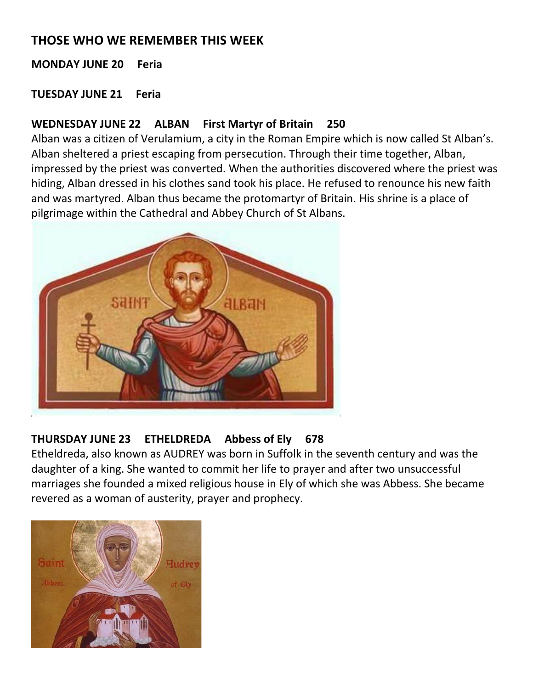# **THOSE WHO WE REMEMBER THIS WEEK**

**MONDAY JUNE 20 Feria**

**TUESDAY JUNE 21 Feria**

#### **WEDNESDAY JUNE 22 ALBAN First Martyr of Britain 250**

Alban was a citizen of Verulamium, a city in the Roman Empire which is now called St Alban's. Alban sheltered a priest escaping from persecution. Through their time together, Alban, impressed by the priest was converted. When the authorities discovered where the priest was hiding, Alban dressed in his clothes sand took his place. He refused to renounce his new faith and was martyred. Alban thus became the protomartyr of Britain. His shrine is a place of pilgrimage within the Cathedral and Abbey Church of St Albans.



# **THURSDAY JUNE 23 ETHELDREDA Abbess of Ely 678**

Etheldreda, also known as AUDREY was born in Suffolk in the seventh century and was the daughter of a king. She wanted to commit her life to prayer and after two unsuccessful marriages she founded a mixed religious house in Ely of which she was Abbess. She became revered as a woman of austerity, prayer and prophecy.

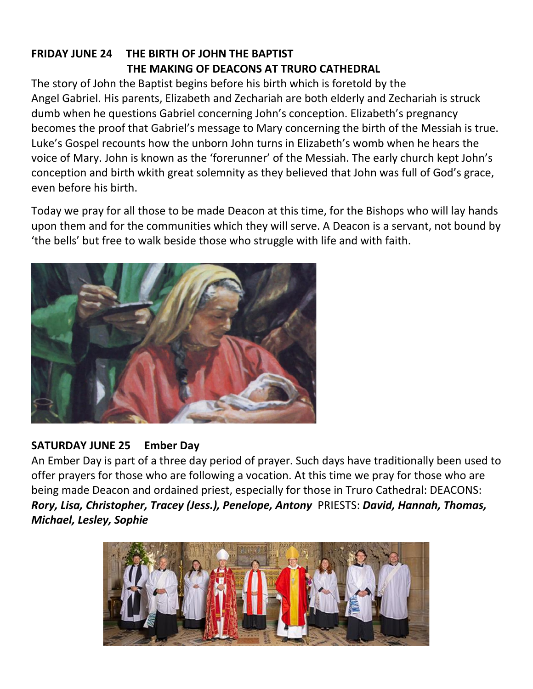# **FRIDAY JUNE 24 THE BIRTH OF JOHN THE BAPTIST THE MAKING OF DEACONS AT TRURO CATHEDRAL**

The story of John the Baptist begins before his birth which is foretold by the Angel Gabriel. His parents, Elizabeth and Zechariah are both elderly and Zechariah is struck dumb when he questions Gabriel concerning John's conception. Elizabeth's pregnancy becomes the proof that Gabriel's message to Mary concerning the birth of the Messiah is true. Luke's Gospel recounts how the unborn John turns in Elizabeth's womb when he hears the voice of Mary. John is known as the 'forerunner' of the Messiah. The early church kept John's conception and birth wkith great solemnity as they believed that John was full of God's grace, even before his birth.

Today we pray for all those to be made Deacon at this time, for the Bishops who will lay hands upon them and for the communities which they will serve. A Deacon is a servant, not bound by 'the bells' but free to walk beside those who struggle with life and with faith.



#### **SATURDAY JUNE 25 Ember Day**

An Ember Day is part of a three day period of prayer. Such days have traditionally been used to offer prayers for those who are following a vocation. At this time we pray for those who are being made Deacon and ordained priest, especially for those in Truro Cathedral: DEACONS: *Rory, Lisa, Christopher, Tracey (Jess.), Penelope, Antony* PRIESTS: *David, Hannah, Thomas, Michael, Lesley, Sophie*

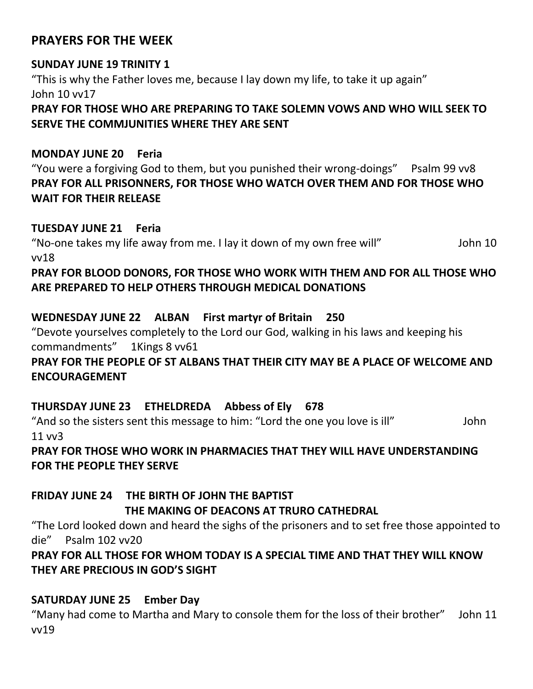## **PRAYERS FOR THE WEEK**

#### **SUNDAY JUNE 19 TRINITY 1**

"This is why the Father loves me, because I lay down my life, to take it up again" John 10 vv17

**PRAY FOR THOSE WHO ARE PREPARING TO TAKE SOLEMN VOWS AND WHO WILL SEEK TO SERVE THE COMMJUNITIES WHERE THEY ARE SENT**

#### **MONDAY JUNE 20 Feria**

"You were a forgiving God to them, but you punished their wrong-doings" Psalm 99 vv8 **PRAY FOR ALL PRISONNERS, FOR THOSE WHO WATCH OVER THEM AND FOR THOSE WHO WAIT FOR THEIR RELEASE** 

#### **TUESDAY JUNE 21 Feria**

"No-one takes my life away from me. I lay it down of my own free will" John 10 vv18

#### **PRAY FOR BLOOD DONORS, FOR THOSE WHO WORK WITH THEM AND FOR ALL THOSE WHO ARE PREPARED TO HELP OTHERS THROUGH MEDICAL DONATIONS**

#### **WEDNESDAY JUNE 22 ALBAN First martyr of Britain 250**

"Devote yourselves completely to the Lord our God, walking in his laws and keeping his commandments" 1Kings 8 vv61

#### **PRAY FOR THE PEOPLE OF ST ALBANS THAT THEIR CITY MAY BE A PLACE OF WELCOME AND ENCOURAGEMENT**

#### **THURSDAY JUNE 23 ETHELDREDA Abbess of Ely 678**

"And so the sisters sent this message to him: "Lord the one you love is ill" John 11 vv3

#### **PRAY FOR THOSE WHO WORK IN PHARMACIES THAT THEY WILL HAVE UNDERSTANDING FOR THE PEOPLE THEY SERVE**

# **FRIDAY JUNE 24 THE BIRTH OF JOHN THE BAPTIST**

#### **THE MAKING OF DEACONS AT TRURO CATHEDRAL**

"The Lord looked down and heard the sighs of the prisoners and to set free those appointed to die" Psalm 102 vv20

#### **PRAY FOR ALL THOSE FOR WHOM TODAY IS A SPECIAL TIME AND THAT THEY WILL KNOW THEY ARE PRECIOUS IN GOD'S SIGHT**

#### **SATURDAY JUNE 25 Ember Day**

"Many had come to Martha and Mary to console them for the loss of their brother" John 11 vv19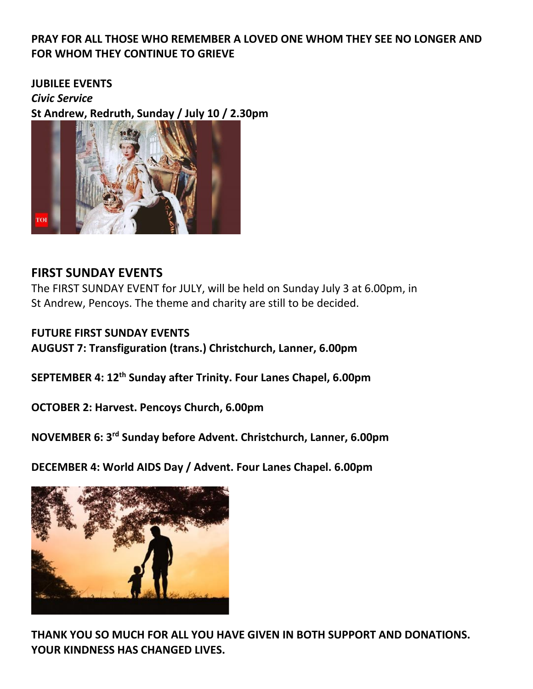#### **PRAY FOR ALL THOSE WHO REMEMBER A LOVED ONE WHOM THEY SEE NO LONGER AND FOR WHOM THEY CONTINUE TO GRIEVE**

#### **JUBILEE EVENTS**

*Civic Service*

**St Andrew, Redruth, Sunday / July 10 / 2.30pm**



#### **FIRST SUNDAY EVENTS**

The FIRST SUNDAY EVENT for JULY, will be held on Sunday July 3 at 6.00pm, in St Andrew, Pencoys. The theme and charity are still to be decided.

**FUTURE FIRST SUNDAY EVENTS AUGUST 7: Transfiguration (trans.) Christchurch, Lanner, 6.00pm**

**SEPTEMBER 4: 12th Sunday after Trinity. Four Lanes Chapel, 6.00pm**

**OCTOBER 2: Harvest. Pencoys Church, 6.00pm**

**NOVEMBER 6: 3rd Sunday before Advent. Christchurch, Lanner, 6.00pm**

**DECEMBER 4: World AIDS Day / Advent. Four Lanes Chapel. 6.00pm**



**THANK YOU SO MUCH FOR ALL YOU HAVE GIVEN IN BOTH SUPPORT AND DONATIONS. YOUR KINDNESS HAS CHANGED LIVES.**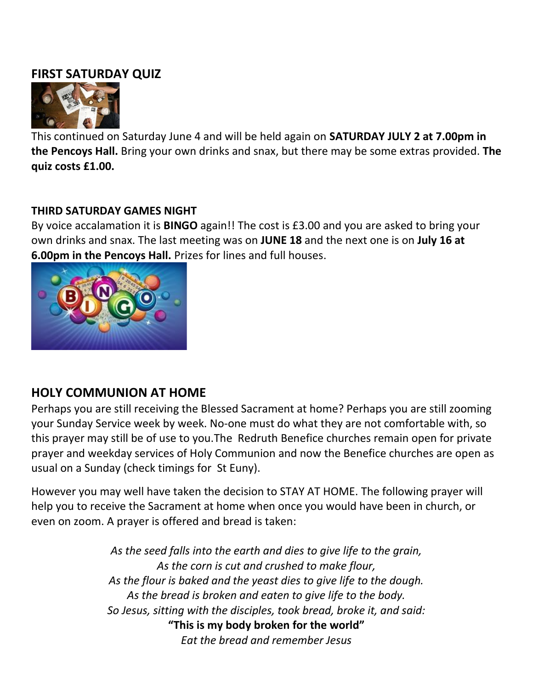## **FIRST SATURDAY QUIZ**



This continued on Saturday June 4 and will be held again on **SATURDAY JULY 2 at 7.00pm in the Pencoys Hall.** Bring your own drinks and snax, but there may be some extras provided. **The quiz costs £1.00.**

#### **THIRD SATURDAY GAMES NIGHT**

By voice accalamation it is **BINGO** again!! The cost is £3.00 and you are asked to bring your own drinks and snax. The last meeting was on **JUNE 18** and the next one is on **July 16 at 6.00pm in the Pencoys Hall.** Prizes for lines and full houses.



# **HOLY COMMUNION AT HOME**

Perhaps you are still receiving the Blessed Sacrament at home? Perhaps you are still zooming your Sunday Service week by week. No-one must do what they are not comfortable with, so this prayer may still be of use to you.The Redruth Benefice churches remain open for private prayer and weekday services of Holy Communion and now the Benefice churches are open as usual on a Sunday (check timings for St Euny).

However you may well have taken the decision to STAY AT HOME. The following prayer will help you to receive the Sacrament at home when once you would have been in church, or even on zoom. A prayer is offered and bread is taken:

> *As the seed falls into the earth and dies to give life to the grain, As the corn is cut and crushed to make flour, As the flour is baked and the yeast dies to give life to the dough. As the bread is broken and eaten to give life to the body. So Jesus, sitting with the disciples, took bread, broke it, and said:* **"This is my body broken for the world"** *Eat the bread and remember Jesus*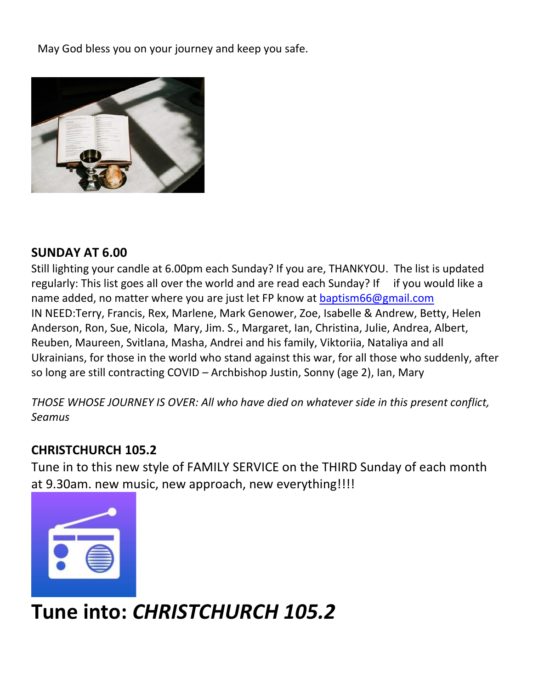May God bless you on your journey and keep you safe.



## **SUNDAY AT 6.00**

Still lighting your candle at 6.00pm each Sunday? If you are, THANKYOU. The list is updated regularly: This list goes all over the world and are read each Sunday? If if you would like a name added, no matter where you are just let FP know at [baptism66@gmail.com](mailto:baptism66@gmail.com) IN NEED:Terry, Francis, Rex, Marlene, Mark Genower, Zoe, Isabelle & Andrew, Betty, Helen Anderson, Ron, Sue, Nicola, Mary, Jim. S., Margaret, Ian, Christina, Julie, Andrea, Albert, Reuben, Maureen, Svitlana, Masha, Andrei and his family, Viktoriia, Nataliya and all Ukrainians, for those in the world who stand against this war, for all those who suddenly, after so long are still contracting COVID – Archbishop Justin, Sonny (age 2), Ian, Mary

*THOSE WHOSE JOURNEY IS OVER: All who have died on whatever side in this present conflict, Seamus*

# **CHRISTCHURCH 105.2**

Tune in to this new style of FAMILY SERVICE on the THIRD Sunday of each month at 9.30am. new music, new approach, new everything!!!!



# **Tune into:** *CHRISTCHURCH 105.2*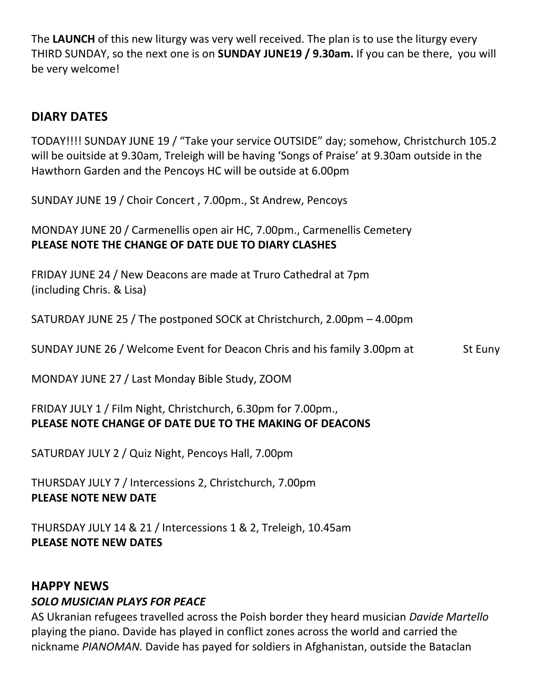The **LAUNCH** of this new liturgy was very well received. The plan is to use the liturgy every THIRD SUNDAY, so the next one is on **SUNDAY JUNE19 / 9.30am.** If you can be there, you will be very welcome!

# **DIARY DATES**

TODAY!!!! SUNDAY JUNE 19 / "Take your service OUTSIDE" day; somehow, Christchurch 105.2 will be ouitside at 9.30am, Treleigh will be having 'Songs of Praise' at 9.30am outside in the Hawthorn Garden and the Pencoys HC will be outside at 6.00pm

SUNDAY JUNE 19 / Choir Concert , 7.00pm., St Andrew, Pencoys

MONDAY JUNE 20 / Carmenellis open air HC, 7.00pm., Carmenellis Cemetery **PLEASE NOTE THE CHANGE OF DATE DUE TO DIARY CLASHES**

FRIDAY JUNE 24 / New Deacons are made at Truro Cathedral at 7pm (including Chris. & Lisa)

SATURDAY JUNE 25 / The postponed SOCK at Christchurch, 2.00pm – 4.00pm

SUNDAY JUNE 26 / Welcome Event for Deacon Chris and his family 3.00pm at St Euny

MONDAY JUNE 27 / Last Monday Bible Study, ZOOM

#### FRIDAY JULY 1 / Film Night, Christchurch, 6.30pm for 7.00pm., **PLEASE NOTE CHANGE OF DATE DUE TO THE MAKING OF DEACONS**

SATURDAY JULY 2 / Quiz Night, Pencoys Hall, 7.00pm

THURSDAY JULY 7 / Intercessions 2, Christchurch, 7.00pm **PLEASE NOTE NEW DATE**

THURSDAY JULY 14 & 21 / Intercessions 1 & 2, Treleigh, 10.45am **PLEASE NOTE NEW DATES**

#### **HAPPY NEWS**

#### *SOLO MUSICIAN PLAYS FOR PEACE*

AS Ukranian refugees travelled across the Poish border they heard musician *Davide Martello*  playing the piano. Davide has played in conflict zones across the world and carried the nickname *PIANOMAN.* Davide has payed for soldiers in Afghanistan, outside the Bataclan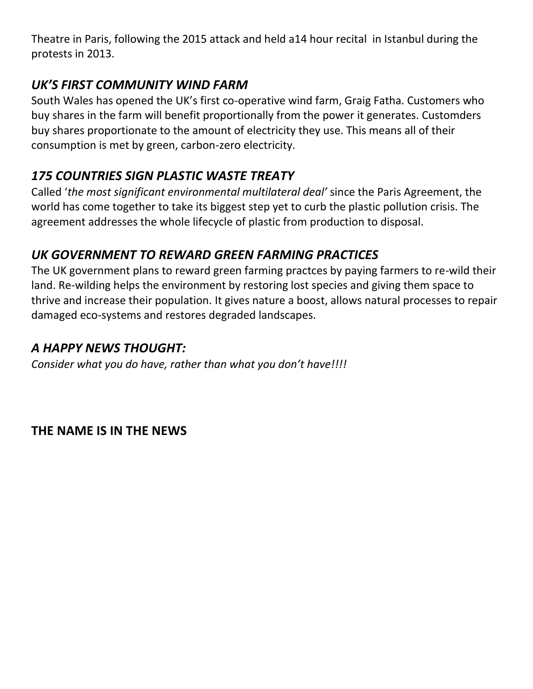Theatre in Paris, following the 2015 attack and held a14 hour recital in Istanbul during the protests in 2013.

# *UK'S FIRST COMMUNITY WIND FARM*

South Wales has opened the UK's first co-operative wind farm, Graig Fatha. Customers who buy shares in the farm will benefit proportionally from the power it generates. Customders buy shares proportionate to the amount of electricity they use. This means all of their consumption is met by green, carbon-zero electricity.

# *175 COUNTRIES SIGN PLASTIC WASTE TREATY*

Called '*the most significant environmental multilateral deal'* since the Paris Agreement, the world has come together to take its biggest step yet to curb the plastic pollution crisis. The agreement addresses the whole lifecycle of plastic from production to disposal.

# *UK GOVERNMENT TO REWARD GREEN FARMING PRACTICES*

The UK government plans to reward green farming practces by paying farmers to re-wild their land. Re-wilding helps the environment by restoring lost species and giving them space to thrive and increase their population. It gives nature a boost, allows natural processes to repair damaged eco-systems and restores degraded landscapes.

# *A HAPPY NEWS THOUGHT:*

*Consider what you do have, rather than what you don't have!!!!*

**THE NAME IS IN THE NEWS**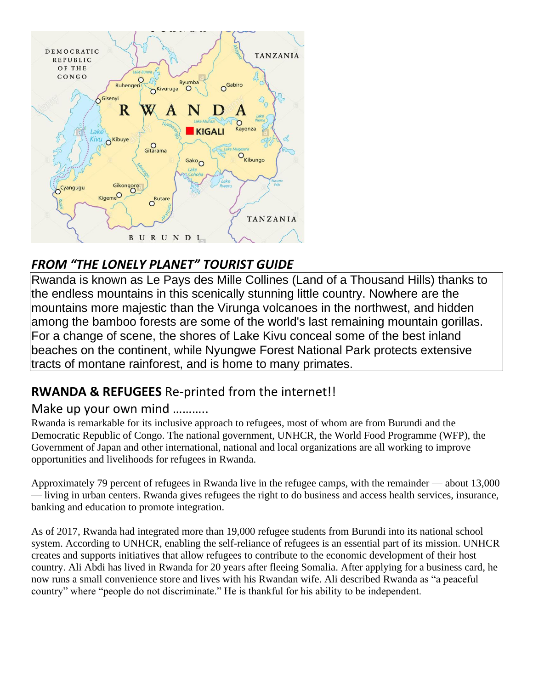

# *FROM "THE LONELY PLANET" TOURIST GUIDE*

Rwanda is known as Le Pays des Mille Collines (Land of a Thousand Hills) thanks to the endless mountains in this scenically stunning little country. Nowhere are the mountains more majestic than the Virunga volcanoes in the northwest, and hidden among the bamboo forests are some of the world's last remaining mountain gorillas. For a change of scene, the shores of Lake Kivu conceal some of the best inland beaches on the continent, while Nyungwe Forest National Park protects extensive tracts of montane rainforest, and is home to many primates.

# **RWANDA & REFUGEES** Re-printed from the internet!!

# Make up your own mind ………..

Rwanda is remarkable for its inclusive approach to refugees, most of whom are from Burundi and the Democratic Republic of Congo. The national government, UNHCR, the World Food Programme (WFP), the Government of Japan and other international, national and local organizations are all working to improve opportunities and livelihoods for refugees in Rwanda.

Approximately 79 percent of refugees in Rwanda live in the refugee camps, with the remainder — about 13,000 — living in urban centers. Rwanda gives refugees the right to do business and access health services, insurance, banking and education to promote integration.

As of 2017, Rwanda had integrated more than 19,000 refugee students from Burundi into its national school system. According to UNHCR, enabling the self-reliance of refugees is an essential part of its mission. UNHCR creates and supports initiatives that allow refugees to contribute to the economic development of their host country. Ali Abdi has lived in Rwanda for 20 years after fleeing Somalia. After applying for a business card, he now runs a small convenience store and lives with his Rwandan wife. Ali described Rwanda as "a peaceful country" where "people do not discriminate." He is thankful for his ability to be independent.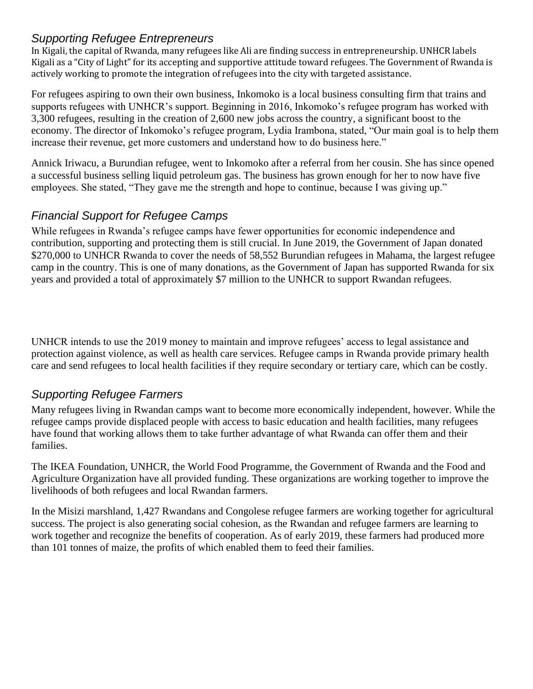#### *Supporting Refugee Entrepreneurs*

In Kigali, the capital of Rwanda, many refugees like Ali are finding success in entrepreneurship. UNHCR labels Kigali as a "City of Light" for its accepting and supportive attitude toward refugees. The Government of Rwanda is actively working to promote the integration of refugees into the city with targeted assistance.

For refugees aspiring to own their own business, Inkomoko is a local business consulting firm that trains and supports refugees with UNHCR's support. Beginning in 2016, Inkomoko's refugee program has worked with 3,300 refugees, resulting in the creation of 2,600 new jobs across the country, a significant boost to the economy. The director of Inkomoko's refugee program, Lydia Irambona, stated, "Our main goal is to help them increase their revenue, get more customers and understand how to do business here."

Annick Iriwacu, a Burundian refugee, went to Inkomoko after a referral from her cousin. She has since opened a successful business selling liquid petroleum gas. The business has grown enough for her to now have five employees. She stated, "They gave me the strength and hope to continue, because I was giving up."

#### *Financial Support for Refugee Camps*

While refugees in Rwanda's refugee camps have fewer opportunities for economic independence and contribution, supporting and protecting them is still crucial. In June 2019, the Government of Japan donated \$270,000 to UNHCR Rwanda to cover the needs of 58,552 Burundian refugees in Mahama, the largest refugee camp in the country. This is one of many donations, as the Government of Japan has supported Rwanda for six years and provided a total of approximately \$7 million to the UNHCR to support Rwandan refugees.

UNHCR intends to use the 2019 money to maintain and improve refugees' access to legal assistance and protection against violence, as well as health care services. Refugee camps in Rwanda provide primary health care and send refugees to local health facilities if they require secondary or tertiary care, which can be costly.

# *Supporting Refugee Farmers*

Many refugees living in Rwandan camps want to become more economically independent, however. While the refugee camps provide displaced people with access to basic education and health facilities, many refugees have found that working allows them to take further advantage of what Rwanda can offer them and their families.

The IKEA Foundation, UNHCR, the World Food Programme, the Government of Rwanda and the Food and Agriculture Organization have all provided funding. These organizations are working together to improve the livelihoods of both refugees and local Rwandan farmers.

In the Misizi marshland, 1,427 Rwandans and Congolese refugee farmers are working together for agricultural success. The project is also generating social cohesion, as the Rwandan and refugee farmers are learning to work together and recognize the benefits of cooperation. As of early 2019, these farmers had produced more than 101 tonnes of maize, the profits of which enabled them to feed their families.